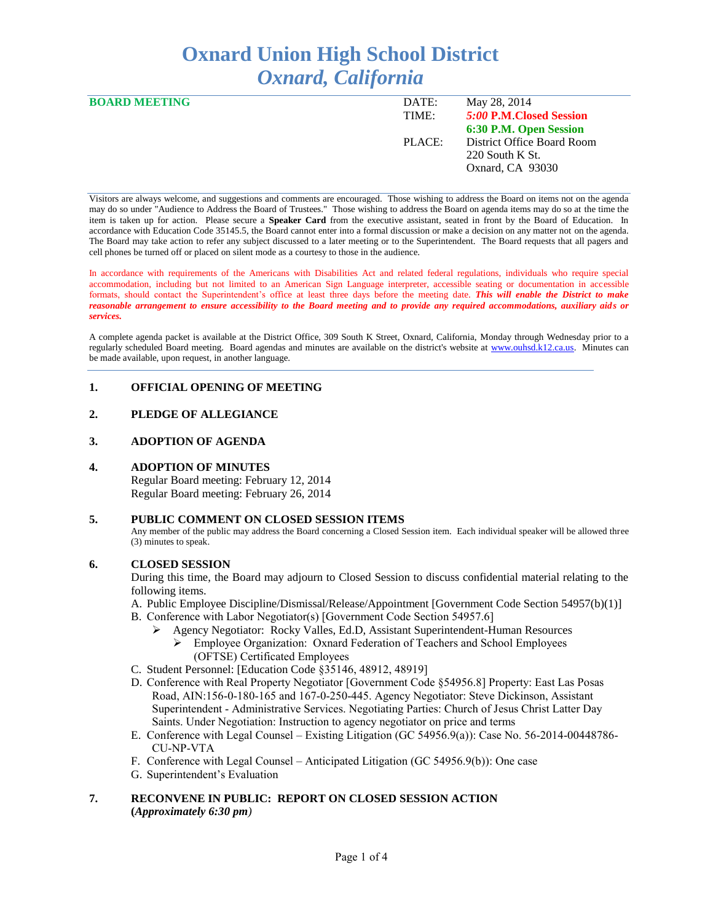# **Oxnard Union High School District** *Oxnard, California*

| <b>BOARD MEETING</b> | DATE:  | May 28, 2014               |
|----------------------|--------|----------------------------|
|                      | TIME:  | 5:00 P.M. Closed Session   |
|                      |        | 6:30 P.M. Open Session     |
|                      | PLACE: | District Office Board Room |
|                      |        | $220$ South K St.          |
|                      |        | Oxnard, CA 93030           |

Visitors are always welcome, and suggestions and comments are encouraged. Those wishing to address the Board on items not on the agenda may do so under "Audience to Address the Board of Trustees." Those wishing to address the Board on agenda items may do so at the time the item is taken up for action. Please secure a **Speaker Card** from the executive assistant, seated in front by the Board of Education. In accordance with Education Code 35145.5, the Board cannot enter into a formal discussion or make a decision on any matter not on the agenda. The Board may take action to refer any subject discussed to a later meeting or to the Superintendent. The Board requests that all pagers and cell phones be turned off or placed on silent mode as a courtesy to those in the audience.

In accordance with requirements of the Americans with Disabilities Act and related federal regulations, individuals who require special accommodation, including but not limited to an American Sign Language interpreter, accessible seating or documentation in accessible formats, should contact the Superintendent's office at least three days before the meeting date. *This will enable the District to make reasonable arrangement to ensure accessibility to the Board meeting and to provide any required accommodations, auxiliary aids or services.* 

A complete agenda packet is available at the District Office, 309 South K Street, Oxnard, California, Monday through Wednesday prior to a regularly scheduled Board meeting. Board agendas and minutes are available on the district's website at [www.ouhsd.k12.ca.us.](http://www.ouhsd.k12.ca.us/)Minutes can be made available, upon request, in another language.

## **1. OFFICIAL OPENING OF MEETING**

## **2. PLEDGE OF ALLEGIANCE**

#### **3. ADOPTION OF AGENDA**

#### **4. ADOPTION OF MINUTES**

Regular Board meeting: February 12, 2014 Regular Board meeting: February 26, 2014

#### **5. PUBLIC COMMENT ON CLOSED SESSION ITEMS**

Any member of the public may address the Board concerning a Closed Session item. Each individual speaker will be allowed three (3) minutes to speak.

#### **6. CLOSED SESSION**

During this time, the Board may adjourn to Closed Session to discuss confidential material relating to the following items.

A. Public Employee Discipline/Dismissal/Release/Appointment [Government Code Section 54957(b)(1)]

- B. Conference with Labor Negotiator(s) [Government Code Section 54957.6]
	- Agency Negotiator: Rocky Valles, Ed.D, Assistant Superintendent-Human Resources
		- Employee Organization: Oxnard Federation of Teachers and School Employees (OFTSE) Certificated Employees
- C. Student Personnel: [Education Code §35146, 48912, 48919]
- D. Conference with Real Property Negotiator [Government Code §54956.8] Property: East Las Posas Road, AIN:156-0-180-165 and 167-0-250-445. Agency Negotiator: Steve Dickinson, Assistant Superintendent - Administrative Services. Negotiating Parties: Church of Jesus Christ Latter Day Saints. Under Negotiation: Instruction to agency negotiator on price and terms
- E. Conference with Legal Counsel Existing Litigation (GC 54956.9(a)): Case No. 56-2014-00448786- CU-NP-VTA
- F. Conference with Legal Counsel Anticipated Litigation (GC 54956.9(b)): One case
- G. Superintendent's Evaluation

#### **7. RECONVENE IN PUBLIC: REPORT ON CLOSED SESSION ACTION (***Approximately 6:30 pm)*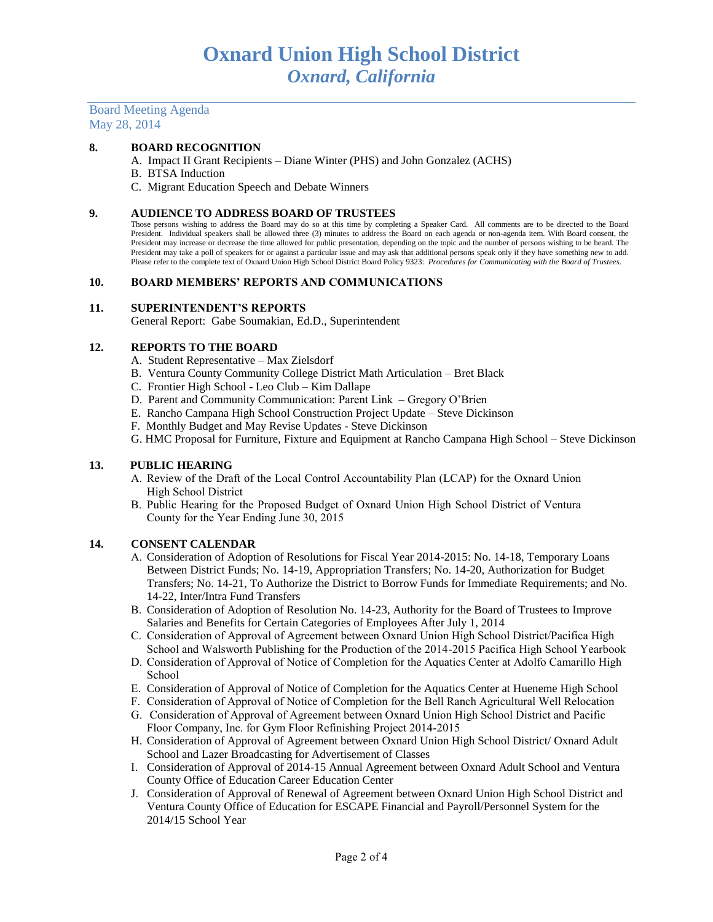#### Board Meeting Agenda May 28, 2014

## **8. BOARD RECOGNITION**

- A. Impact II Grant Recipients Diane Winter (PHS) and John Gonzalez (ACHS)
- B. BTSA Induction
- C. Migrant Education Speech and Debate Winners

#### **9. AUDIENCE TO ADDRESS BOARD OF TRUSTEES**

Those persons wishing to address the Board may do so at this time by completing a Speaker Card. All comments are to be directed to the Board President. Individual speakers shall be allowed three (3) minutes to address the Board on each agenda or non-agenda item. With Board consent, the President may increase or decrease the time allowed for public presentation, depending on the topic and the number of persons wishing to be heard. The President may take a poll of speakers for or against a particular issue and may ask that additional persons speak only if they have something new to add. Please refer to the complete text of Oxnard Union High School District Board Policy 9323: *Procedures for Communicating with the Board of Trustees.*

#### **10. BOARD MEMBERS' REPORTS AND COMMUNICATIONS**

#### **11. SUPERINTENDENT'S REPORTS**

General Report: Gabe Soumakian, Ed.D., Superintendent

#### **12. REPORTS TO THE BOARD**

- A. Student Representative Max Zielsdorf
- B. Ventura County Community College District Math Articulation Bret Black
- C. Frontier High School Leo Club Kim Dallape
- D. Parent and Community Communication: Parent Link Gregory O'Brien
- E. Rancho Campana High School Construction Project Update Steve Dickinson
- F. Monthly Budget and May Revise Updates Steve Dickinson
- G. HMC Proposal for Furniture, Fixture and Equipment at Rancho Campana High School Steve Dickinson

#### **13. PUBLIC HEARING**

- A. Review of the Draft of the Local Control Accountability Plan (LCAP) for the Oxnard Union High School District
- B. Public Hearing for the Proposed Budget of Oxnard Union High School District of Ventura County for the Year Ending June 30, 2015

#### **14. CONSENT CALENDAR**

- A. Consideration of Adoption of Resolutions for Fiscal Year 2014-2015: No. 14-18, Temporary Loans Between District Funds; No. 14-19, Appropriation Transfers; No. 14-20, Authorization for Budget Transfers; No. 14-21, To Authorize the District to Borrow Funds for Immediate Requirements; and No. 14-22, Inter/Intra Fund Transfers
- B. Consideration of Adoption of Resolution No. 14-23, Authority for the Board of Trustees to Improve Salaries and Benefits for Certain Categories of Employees After July 1, 2014
- C. Consideration of Approval of Agreement between Oxnard Union High School District/Pacifica High School and Walsworth Publishing for the Production of the 2014-2015 Pacifica High School Yearbook
- D. Consideration of Approval of Notice of Completion for the Aquatics Center at Adolfo Camarillo High School
- E. Consideration of Approval of Notice of Completion for the Aquatics Center at Hueneme High School
- F. Consideration of Approval of Notice of Completion for the Bell Ranch Agricultural Well Relocation
- G. Consideration of Approval of Agreement between Oxnard Union High School District and Pacific Floor Company, Inc. for Gym Floor Refinishing Project 2014-2015
- H. Consideration of Approval of Agreement between Oxnard Union High School District/ Oxnard Adult School and Lazer Broadcasting for Advertisement of Classes
- I. Consideration of Approval of 2014-15 Annual Agreement between Oxnard Adult School and Ventura County Office of Education Career Education Center
- J. Consideration of Approval of Renewal of Agreement between Oxnard Union High School District and Ventura County Office of Education for ESCAPE Financial and Payroll/Personnel System for the 2014/15 School Year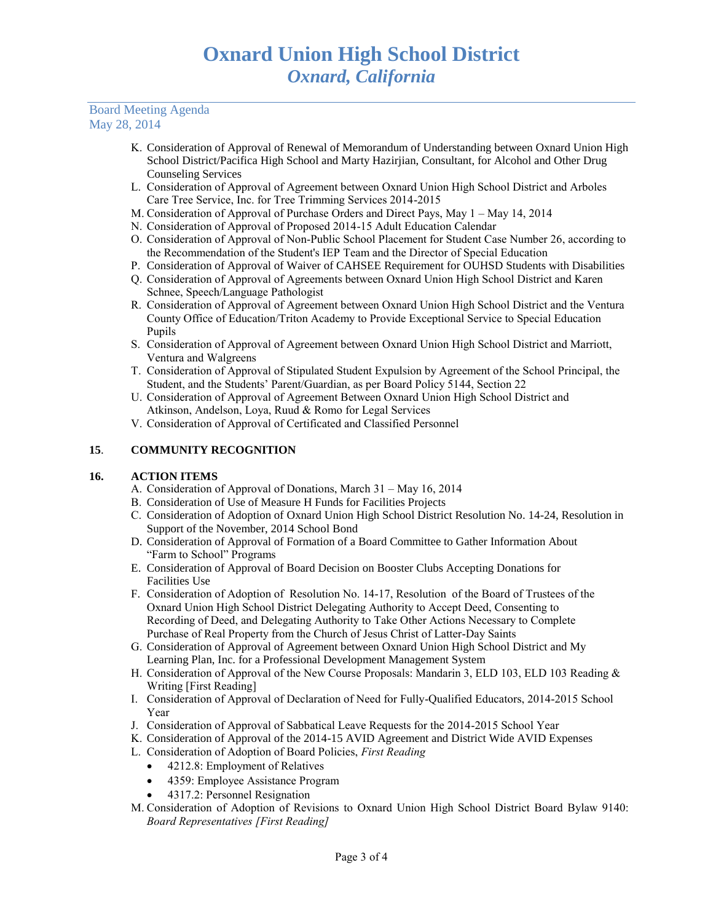#### Board Meeting Agenda May 28, 2014

- K. Consideration of Approval of Renewal of Memorandum of Understanding between Oxnard Union High School District/Pacifica High School and Marty Hazirjian, Consultant, for Alcohol and Other Drug Counseling Services
- L. Consideration of Approval of Agreement between Oxnard Union High School District and Arboles Care Tree Service, Inc. for Tree Trimming Services 2014-2015
- M. Consideration of Approval of Purchase Orders and Direct Pays, May 1 May 14, 2014
- N. Consideration of Approval of Proposed 2014-15 Adult Education Calendar
- O. Consideration of Approval of Non-Public School Placement for Student Case Number 26, according to the Recommendation of the Student's IEP Team and the Director of Special Education
- P. Consideration of Approval of Waiver of CAHSEE Requirement for OUHSD Students with Disabilities
- Q. Consideration of Approval of Agreements between Oxnard Union High School District and Karen Schnee, Speech/Language Pathologist
- R. Consideration of Approval of Agreement between Oxnard Union High School District and the Ventura County Office of Education/Triton Academy to Provide Exceptional Service to Special Education Pupils
- S. Consideration of Approval of Agreement between Oxnard Union High School District and Marriott, Ventura and Walgreens
- T. Consideration of Approval of Stipulated Student Expulsion by Agreement of the School Principal, the Student, and the Students' Parent/Guardian, as per Board Policy 5144, Section 22
- U. Consideration of Approval of Agreement Between Oxnard Union High School District and Atkinson, Andelson, Loya, Ruud & Romo for Legal Services
- V. Consideration of Approval of Certificated and Classified Personnel

## **15**. **COMMUNITY RECOGNITION**

## **16. ACTION ITEMS**

- A. Consideration of Approval of Donations, March 31 May 16, 2014
- B. Consideration of Use of Measure H Funds for Facilities Projects
- C. Consideration of Adoption of Oxnard Union High School District Resolution No. 14-24, Resolution in Support of the November, 2014 School Bond
- D. Consideration of Approval of Formation of a Board Committee to Gather Information About "Farm to School" Programs
- E. Consideration of Approval of Board Decision on Booster Clubs Accepting Donations for Facilities Use
- F. Consideration of Adoption of Resolution No. 14-17, Resolution of the Board of Trustees of the Oxnard Union High School District Delegating Authority to Accept Deed, Consenting to Recording of Deed, and Delegating Authority to Take Other Actions Necessary to Complete Purchase of Real Property from the Church of Jesus Christ of Latter-Day Saints
- G. Consideration of Approval of Agreement between Oxnard Union High School District and My Learning Plan, Inc. for a Professional Development Management System
- H. Consideration of Approval of the New Course Proposals: Mandarin 3, ELD 103, ELD 103 Reading & Writing [First Reading]
- I. Consideration of Approval of Declaration of Need for Fully-Qualified Educators, 2014-2015 School Year
- J. Consideration of Approval of Sabbatical Leave Requests for the 2014-2015 School Year
- K. Consideration of Approval of the 2014-15 AVID Agreement and District Wide AVID Expenses
- L. Consideration of Adoption of Board Policies, *First Reading*
	- 4212.8: Employment of Relatives
	- 4359: Employee Assistance Program
	- 4317.2: Personnel Resignation
- M. Consideration of Adoption of Revisions to Oxnard Union High School District Board Bylaw 9140: *Board Representatives [First Reading]*